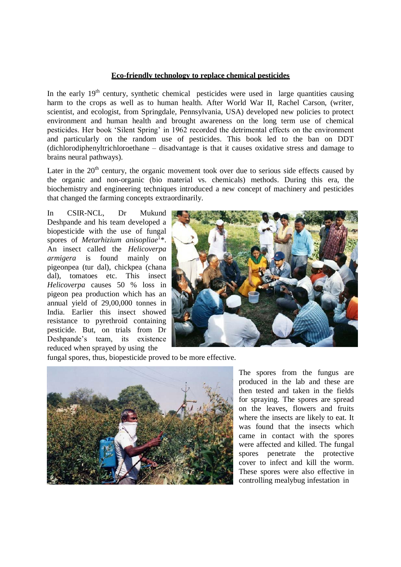## **Eco-friendly technology to replace chemical pesticides**

In the early  $19<sup>th</sup>$  century, synthetic chemical pesticides were used in large quantities causing harm to the crops as well as to human health. After World War II, Rachel Carson, (writer, scientist, and ecologist, from Springdale, Pennsylvania, USA) developed new policies to protect environment and human health and brought awareness on the long term use of chemical pesticides. Her book 'Silent Spring' in 1962 recorded the detrimental effects on the environment and particularly on the random use of pesticides. This book led to the ban on DDT (dichlorodiphenyltrichloroethane – disadvantage is that it causes oxidative stress and damage to brains neural pathways).

Later in the  $20<sup>th</sup>$  century, the organic movement took over due to serious side effects caused by the organic and non-organic (bio material vs. chemicals) methods. During this era, the biochemistry and engineering techniques introduced a new concept of machinery and pesticides that changed the farming concepts extraordinarily.

In CSIR-NCL, Dr Mukund Deshpande and his team developed a biopesticide with the use of fungal spores of *Metarhizium anisopliae*<sup>1</sup>\*. An insect called the *Helicoverpa armigera* is found mainly on pigeonpea (tur dal), chickpea (chana dal), tomatoes etc. This insect *Helicoverpa* causes 50 % loss in pigeon pea production which has an annual yield of 29,00,000 tonnes in India. Earlier this insect showed resistance to pyrethroid containing pesticide. But, on trials from Dr Deshpande's team, its existence reduced when sprayed by using the



fungal spores, thus, biopesticide proved to be more effective.



The spores from the fungus are produced in the lab and these are then tested and taken in the fields for spraying. The spores are spread on the leaves, flowers and fruits where the insects are likely to eat. It was found that the insects which came in contact with the spores were affected and killed. The fungal spores penetrate the protective cover to infect and kill the worm. These spores were also effective in controlling mealybug infestation in